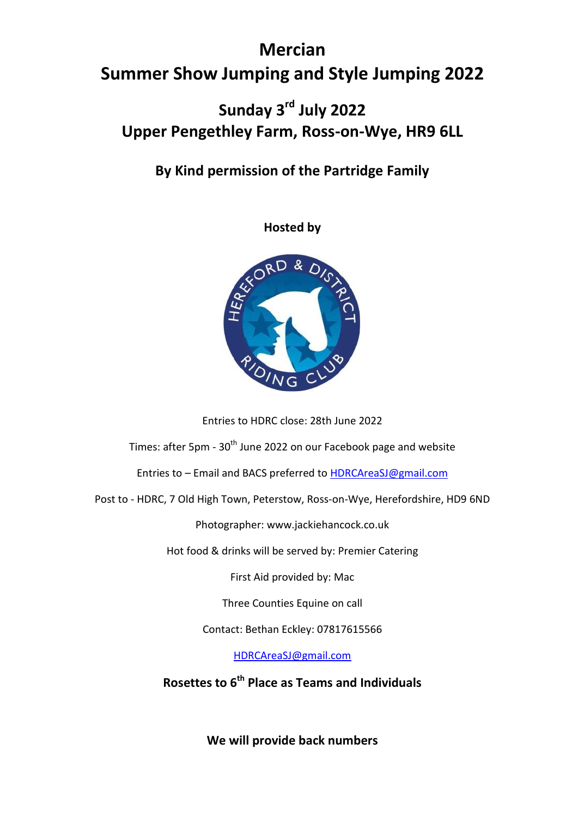# **Mercian Summer Show Jumping and Style Jumping 2022**

### **Sunday 3 rd July 2022 Upper Pengethley Farm, Ross-on-Wye, HR9 6LL**

### **By Kind permission of the Partridge Family**

**Hosted by** 



Entries to HDRC close: 28th June 2022

Times: after 5pm - 30<sup>th</sup> June 2022 on our Facebook page and website

Entries to – Email and BACS preferred to [HDRCAreaSJ@gmail.com](mailto:HDRCAreaSJ@gmail.com)

Post to - HDRC, 7 Old High Town, Peterstow, Ross-on-Wye, Herefordshire, HD9 6ND

Photographer: www.jackiehancock.co.uk

Hot food & drinks will be served by: Premier Catering

First Aid provided by: Mac

Three Counties Equine on call

Contact: Bethan Eckley: 07817615566

[HDRCAreaSJ@gmail.com](mailto:HDRCAreaSJ@gmail.com)

**Rosettes to 6th Place as Teams and Individuals** 

**We will provide back numbers**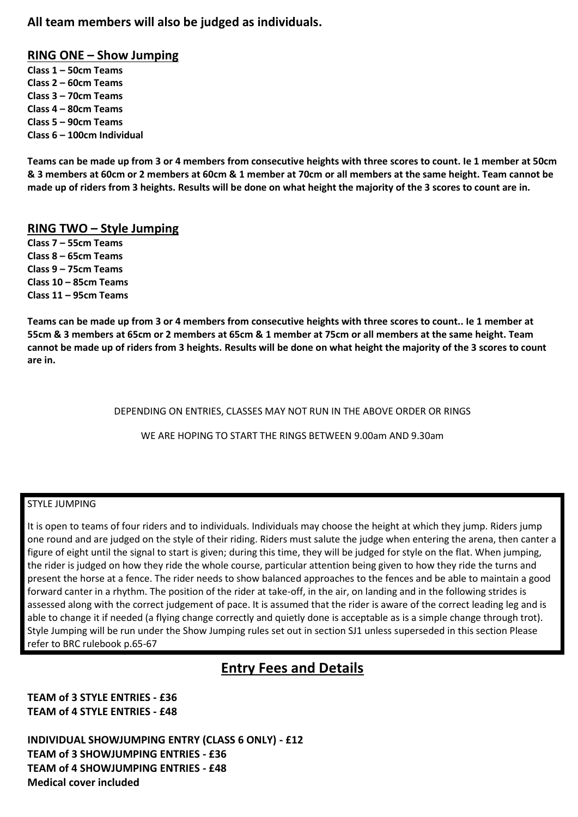#### **All team members will also be judged as individuals.**

#### **RING ONE – Show Jumping**

**Class 1 – 50cm Teams Class 2 – 60cm Teams Class 3 – 70cm Teams Class 4 – 80cm Teams Class 5 – 90cm Teams Class 6 – 100cm Individual**

**Teams can be made up from 3 or 4 members from consecutive heights with three scores to count. Ie 1 member at 50cm & 3 members at 60cm or 2 members at 60cm & 1 member at 70cm or all members at the same height. Team cannot be made up of riders from 3 heights. Results will be done on what height the majority of the 3 scores to count are in.**

#### **RING TWO – Style Jumping**

**Class 7 – 55cm Teams Class 8 – 65cm Teams Class 9 – 75cm Teams Class 10 – 85cm Teams Class 11 – 95cm Teams**

**Teams can be made up from 3 or 4 members from consecutive heights with three scores to count.. Ie 1 member at 55cm & 3 members at 65cm or 2 members at 65cm & 1 member at 75cm or all members at the same height. Team cannot be made up of riders from 3 heights. Results will be done on what height the majority of the 3 scores to count are in.**

DEPENDING ON ENTRIES, CLASSES MAY NOT RUN IN THE ABOVE ORDER OR RINGS

WE ARE HOPING TO START THE RINGS BETWEEN 9.00am AND 9.30am

#### STYLE JUMPING

It is open to teams of four riders and to individuals. Individuals may choose the height at which they jump. Riders jump one round and are judged on the style of their riding. Riders must salute the judge when entering the arena, then canter a figure of eight until the signal to start is given; during this time, they will be judged for style on the flat. When jumping, the rider is judged on how they ride the whole course, particular attention being given to how they ride the turns and present the horse at a fence. The rider needs to show balanced approaches to the fences and be able to maintain a good forward canter in a rhythm. The position of the rider at take-off, in the air, on landing and in the following strides is assessed along with the correct judgement of pace. It is assumed that the rider is aware of the correct leading leg and is able to change it if needed (a flying change correctly and quietly done is acceptable as is a simple change through trot). Style Jumping will be run under the Show Jumping rules set out in section SJ1 unless superseded in this section Please refer to BRC rulebook p.65-67

### **Entry Fees and Details**

**TEAM of 3 STYLE ENTRIES - £36 TEAM of 4 STYLE ENTRIES - £48**

**INDIVIDUAL SHOWJUMPING ENTRY (CLASS 6 ONLY) - £12 TEAM of 3 SHOWJUMPING ENTRIES - £36 TEAM of 4 SHOWJUMPING ENTRIES - £48 Medical cover included**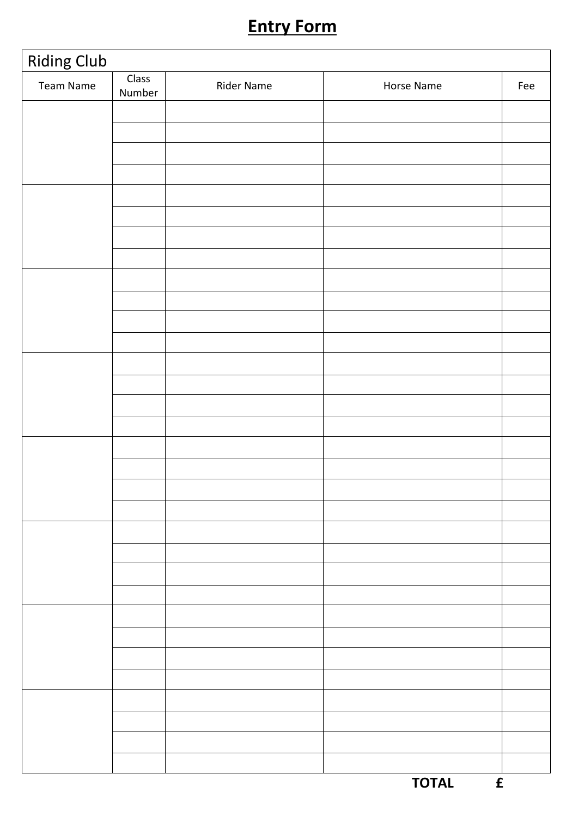# **Entry Form**

| <b>Riding Club</b> |                 |                   |                              |     |
|--------------------|-----------------|-------------------|------------------------------|-----|
| Team Name          | Class<br>Number | <b>Rider Name</b> | Horse Name                   | Fee |
|                    |                 |                   |                              |     |
|                    |                 |                   |                              |     |
|                    |                 |                   |                              |     |
|                    |                 |                   |                              |     |
|                    |                 |                   |                              |     |
|                    |                 |                   |                              |     |
|                    |                 |                   |                              |     |
|                    |                 |                   |                              |     |
|                    |                 |                   |                              |     |
|                    |                 |                   |                              |     |
|                    |                 |                   |                              |     |
|                    |                 |                   |                              |     |
|                    |                 |                   |                              |     |
|                    |                 |                   |                              |     |
|                    |                 |                   |                              |     |
|                    |                 |                   |                              |     |
|                    |                 |                   |                              |     |
|                    |                 |                   |                              |     |
|                    |                 |                   |                              |     |
|                    |                 |                   |                              |     |
|                    |                 |                   |                              |     |
|                    |                 |                   |                              |     |
|                    |                 |                   |                              |     |
|                    |                 |                   |                              |     |
|                    |                 |                   |                              |     |
|                    |                 |                   |                              |     |
|                    |                 |                   |                              |     |
|                    |                 |                   |                              |     |
|                    |                 |                   |                              |     |
|                    |                 |                   |                              |     |
|                    |                 |                   |                              |     |
|                    |                 |                   |                              |     |
|                    |                 |                   | <b>TOTAL</b><br>$\mathbf{f}$ |     |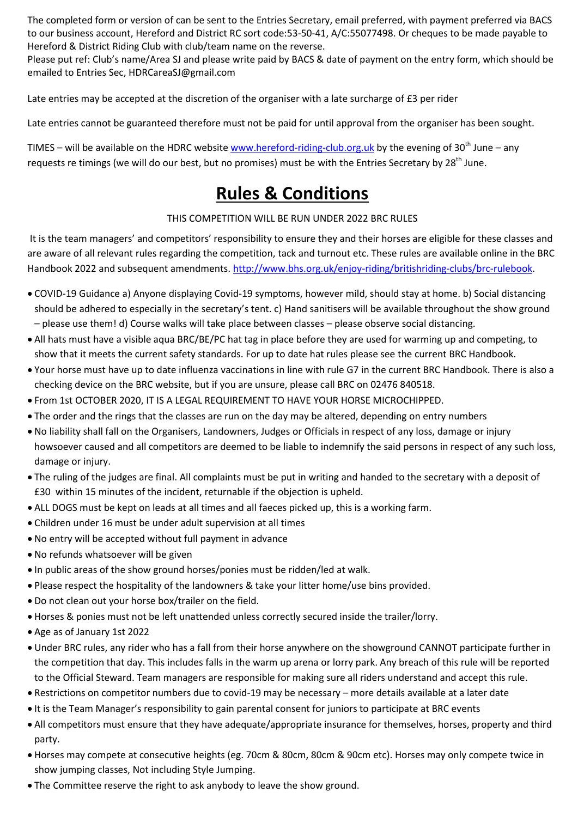The completed form or version of can be sent to the Entries Secretary, email preferred, with payment preferred via BACS to our business account, Hereford and District RC sort code:53-50-41, A/C:55077498. Or cheques to be made payable to Hereford & District Riding Club with club/team name on the reverse.

Please put ref: Club's name/Area SJ and please write paid by BACS & date of payment on the entry form, which should be emailed to Entries Sec, HDRCareaSJ@gmail.com

Late entries may be accepted at the discretion of the organiser with a late surcharge of £3 per rider

Late entries cannot be guaranteed therefore must not be paid for until approval from the organiser has been sought.

TIMES – will be available on the HDRC websit[e www.hereford-riding-club.org.uk](http://www.hereford-riding-club.org.uk/) by the evening of 30<sup>th</sup> June – any requests re timings (we will do our best, but no promises) must be with the Entries Secretary by 28<sup>th</sup> June.

## **Rules & Conditions**

THIS COMPETITION WILL BE RUN UNDER 2022 BRC RULES

It is the team managers' and competitors' responsibility to ensure they and their horses are eligible for these classes and are aware of all relevant rules regarding the competition, tack and turnout etc. These rules are available online in the BRC Handbook 2022 and subsequent amendments. [http://www.bhs.org.uk/enjoy-riding/britishriding-clubs/brc-rulebook.](http://www.bhs.org.uk/enjoy-riding/britishriding-clubs/brc-rulebook)

- COVID-19 Guidance a) Anyone displaying Covid-19 symptoms, however mild, should stay at home. b) Social distancing should be adhered to especially in the secretary's tent. c) Hand sanitisers will be available throughout the show ground – please use them! d) Course walks will take place between classes – please observe social distancing.
- All hats must have a visible aqua BRC/BE/PC hat tag in place before they are used for warming up and competing, to show that it meets the current safety standards. For up to date hat rules please see the current BRC Handbook.
- Your horse must have up to date influenza vaccinations in line with rule G7 in the current BRC Handbook. There is also a checking device on the BRC website, but if you are unsure, please call BRC on 02476 840518.
- From 1st OCTOBER 2020, IT IS A LEGAL REQUIREMENT TO HAVE YOUR HORSE MICROCHIPPED.
- The order and the rings that the classes are run on the day may be altered, depending on entry numbers
- No liability shall fall on the Organisers, Landowners, Judges or Officials in respect of any loss, damage or injury howsoever caused and all competitors are deemed to be liable to indemnify the said persons in respect of any such loss, damage or injury.
- The ruling of the judges are final. All complaints must be put in writing and handed to the secretary with a deposit of £30 within 15 minutes of the incident, returnable if the objection is upheld.
- ALL DOGS must be kept on leads at all times and all faeces picked up, this is a working farm.
- Children under 16 must be under adult supervision at all times
- No entry will be accepted without full payment in advance
- No refunds whatsoever will be given
- In public areas of the show ground horses/ponies must be ridden/led at walk.
- Please respect the hospitality of the landowners & take your litter home/use bins provided.
- Do not clean out your horse box/trailer on the field.
- Horses & ponies must not be left unattended unless correctly secured inside the trailer/lorry.
- Age as of January 1st 2022
- Under BRC rules, any rider who has a fall from their horse anywhere on the showground CANNOT participate further in the competition that day. This includes falls in the warm up arena or lorry park. Any breach of this rule will be reported to the Official Steward. Team managers are responsible for making sure all riders understand and accept this rule.
- Restrictions on competitor numbers due to covid-19 may be necessary more details available at a later date
- It is the Team Manager's responsibility to gain parental consent for juniors to participate at BRC events
- All competitors must ensure that they have adequate/appropriate insurance for themselves, horses, property and third party.
- Horses may compete at consecutive heights (eg. 70cm & 80cm, 80cm & 90cm etc). Horses may only compete twice in show jumping classes, Not including Style Jumping.
- The Committee reserve the right to ask anybody to leave the show ground.